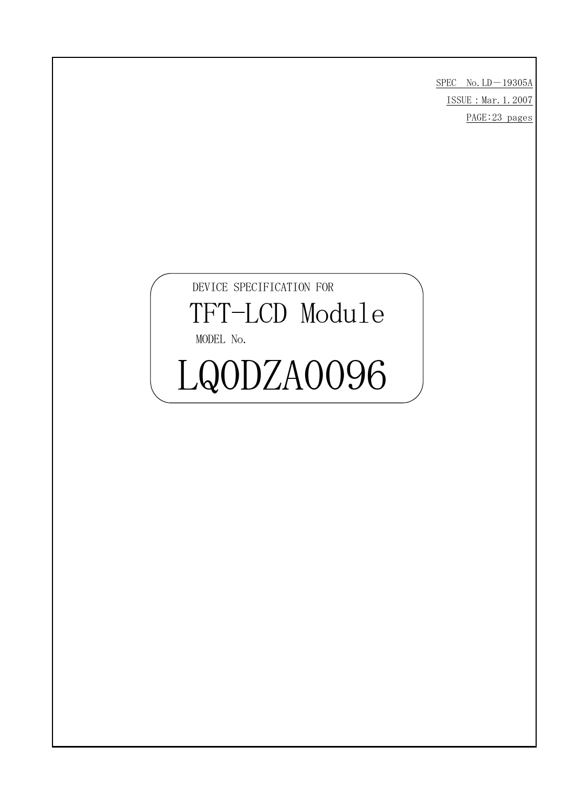$SPEC$  No.  $LD-19305A$ ISSUE: Mar. 1.2007 PAGE:23 pages

# DEVICE SPECIFICATION FOR TFT-LCD Module MODEL No. LQODZA0096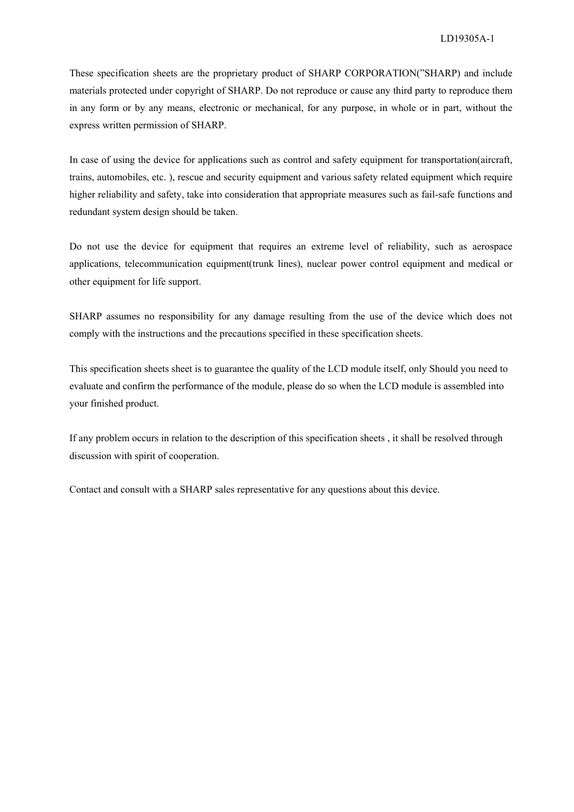These specification sheets are the proprietary product of SHARP CORPORATION("SHARP) and include materials protected under copyright of SHARP. Do not reproduce or cause any third party to reproduce them in any form or by any means, electronic or mechanical, for any purpose, in whole or in part, without the express written permission of SHARP.

In case of using the device for applications such as control and safety equipment for transportation(aircraft, trains, automobiles, etc. ), rescue and security equipment and various safety related equipment which require higher reliability and safety, take into consideration that appropriate measures such as fail-safe functions and redundant system design should be taken.

Do not use the device for equipment that requires an extreme level of reliability, such as aerospace applications, telecommunication equipment(trunk lines), nuclear power control equipment and medical or other equipment for life support.

SHARP assumes no responsibility for any damage resulting from the use of the device which does not comply with the instructions and the precautions specified in these specification sheets.

This specification sheets sheet is to guarantee the quality of the LCD module itself, only Should you need to evaluate and confirm the performance of the module, please do so when the LCD module is assembled into your finished product.

If any problem occurs in relation to the description of this specification sheets , it shall be resolved through discussion with spirit of cooperation.

Contact and consult with a SHARP sales representative for any questions about this device.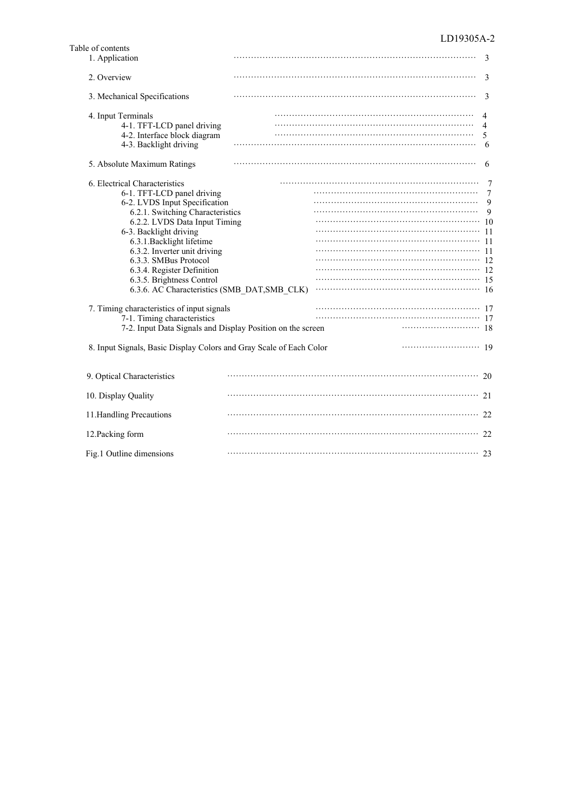| Table of contents                                                                                                                                                                                                                                                                                                                                                                                                                                                                                                                                                                                              |  |                    |
|----------------------------------------------------------------------------------------------------------------------------------------------------------------------------------------------------------------------------------------------------------------------------------------------------------------------------------------------------------------------------------------------------------------------------------------------------------------------------------------------------------------------------------------------------------------------------------------------------------------|--|--------------------|
| 1. Application                                                                                                                                                                                                                                                                                                                                                                                                                                                                                                                                                                                                 |  | 3                  |
| 2. Overview                                                                                                                                                                                                                                                                                                                                                                                                                                                                                                                                                                                                    |  | 3                  |
| 3. Mechanical Specifications                                                                                                                                                                                                                                                                                                                                                                                                                                                                                                                                                                                   |  | 3                  |
| 4. Input Terminals<br>4-1. TFT-LCD panel driving<br>4-2. Interface block diagram<br>4-3. Backlight driving                                                                                                                                                                                                                                                                                                                                                                                                                                                                                                     |  | 4<br>4<br>5<br>6   |
| 5. Absolute Maximum Ratings                                                                                                                                                                                                                                                                                                                                                                                                                                                                                                                                                                                    |  | 6                  |
| 6. Electrical Characteristics<br>6-1. TFT-LCD panel driving<br>6-2. LVDS Input Specification<br>6.2.1. Switching Characteristics<br>6.2.2. LVDS Data Input Timing<br>6-3. Backlight driving<br>6.3.1. Backlight lifetime<br>6.3.2. Inverter unit driving<br>6.3.3. SMBus Protocol<br>6.3.4. Register Definition<br>6.3.5. Brightness Control<br>6.3.6. AC Characteristics (SMB DAT, SMB CLK)<br>7. Timing characteristics of input signals<br>7-1. Timing characteristics<br>7-2. Input Data Signals and Display Position on the screen<br>8. Input Signals, Basic Display Colors and Gray Scale of Each Color |  | 7<br>9<br>9<br>-10 |
| 9. Optical Characteristics                                                                                                                                                                                                                                                                                                                                                                                                                                                                                                                                                                                     |  | 20                 |
| 10. Display Quality                                                                                                                                                                                                                                                                                                                                                                                                                                                                                                                                                                                            |  |                    |
| 11. Handling Precautions                                                                                                                                                                                                                                                                                                                                                                                                                                                                                                                                                                                       |  |                    |
| 12. Packing form                                                                                                                                                                                                                                                                                                                                                                                                                                                                                                                                                                                               |  | 22                 |
| Fig.1 Outline dimensions                                                                                                                                                                                                                                                                                                                                                                                                                                                                                                                                                                                       |  |                    |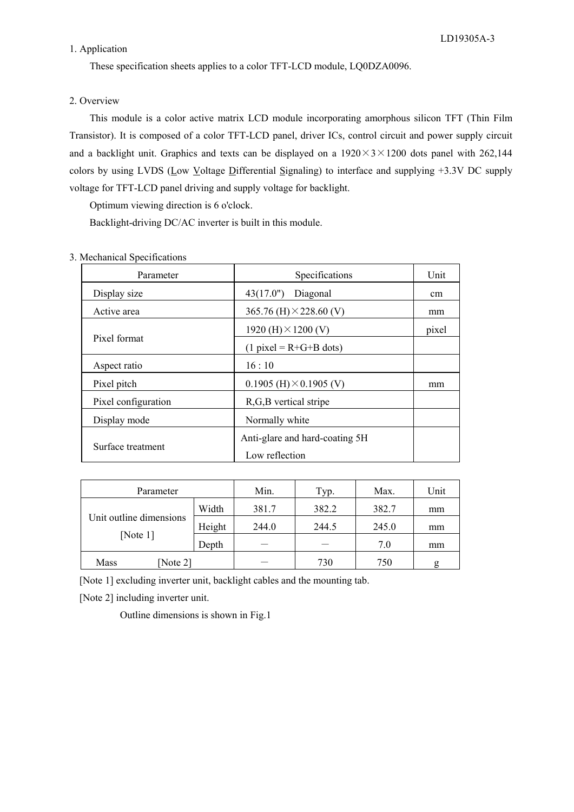#### 1. Application

These specification sheets applies to a color TFT-LCD module, LQ0DZA0096.

#### 2. Overview

 This module is a color active matrix LCD module incorporating amorphous silicon TFT (Thin Film Transistor). It is composed of a color TFT-LCD panel, driver ICs, control circuit and power supply circuit and a backlight unit. Graphics and texts can be displayed on a  $1920\times3\times1200$  dots panel with 262,144 colors by using LVDS (Low Voltage Differential Signaling) to interface and supplying +3.3V DC supply voltage for TFT-LCD panel driving and supply voltage for backlight.

Optimum viewing direction is 6 o'clock.

Backlight-driving DC/AC inverter is built in this module.

| Parameter           | Specifications                                   | Unit  |
|---------------------|--------------------------------------------------|-------|
| Display size        | 43(17.0")<br>Diagonal                            | cm    |
| Active area         | 365.76 (H) $\times$ 228.60 (V)                   | mm    |
|                     | 1920 (H) $\times$ 1200 (V)                       | pixel |
| Pixel format        | $(1$ pixel = R+G+B dots)                         |       |
| Aspect ratio        | 16:10                                            |       |
| Pixel pitch         | 0.1905 (H) $\times$ 0.1905 (V)                   | mm    |
| Pixel configuration | R,G,B vertical stripe                            |       |
| Display mode        | Normally white                                   |       |
| Surface treatment   | Anti-glare and hard-coating 5H<br>Low reflection |       |

#### 3. Mechanical Specifications

| Parameter               |        | Min.  | Typ.  | Max.  | Unit |
|-------------------------|--------|-------|-------|-------|------|
| Unit outline dimensions | Width  | 381.7 | 382.2 | 382.7 | mm   |
|                         | Height | 244.0 | 244.5 | 245.0 | mm   |
| [Note $1$ ]             | Depth  |       |       | 7.0   | mm   |
| Note 2]<br>Mass         |        |       | 730   | 750   | g    |

[Note 1] excluding inverter unit, backlight cables and the mounting tab.

[Note 2] including inverter unit.

Outline dimensions is shown in Fig.1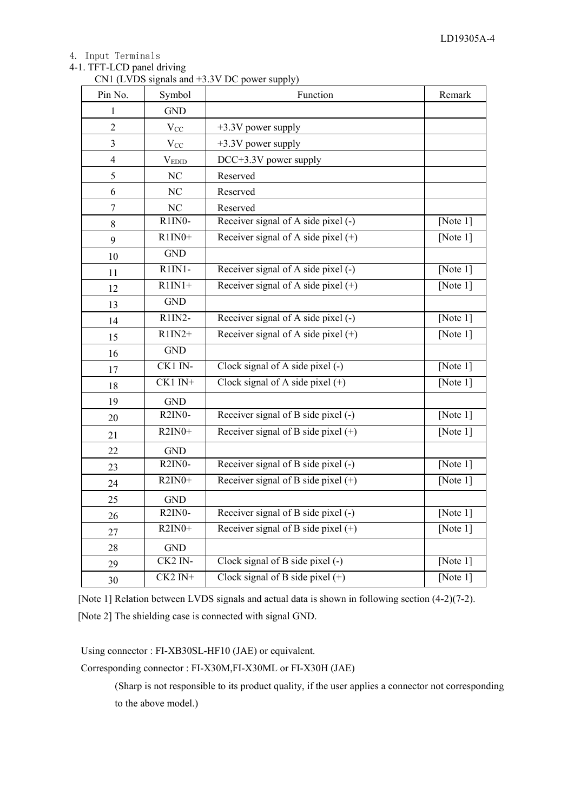#### 4. Input Terminals

# 4-1. TFT-LCD panel driving

CN1 (LVDS signals and +3.3V DC power supply)

| Pin No.                 | Symbol                           | Function                              | Remark      |
|-------------------------|----------------------------------|---------------------------------------|-------------|
| 1                       | <b>GND</b>                       |                                       |             |
| $\overline{2}$          | $V_{CC}$                         | $+3.3V$ power supply                  |             |
| $\overline{\mathbf{3}}$ | $\rm V_{CC}$                     | +3.3V power supply                    |             |
| $\overline{4}$          | $\rm V_{EDID}$                   | DCC+3.3V power supply                 |             |
| 5                       | NC                               | Reserved                              |             |
| 6                       | N <sub>C</sub>                   | Reserved                              |             |
| $\boldsymbol{7}$        | NC                               | Reserved                              |             |
| 8                       | R <sub>1</sub> IN <sub>0</sub> - | Receiver signal of A side pixel (-)   | [Note 1]    |
| 9                       | $R1IN0+$                         | Receiver signal of A side pixel $(+)$ | [Note $1$ ] |
| 10                      | <b>GND</b>                       |                                       |             |
| 11                      | $R1IN1-$                         | Receiver signal of A side pixel (-)   | [Note $1$ ] |
| 12                      | $R1IN1+$                         | Receiver signal of A side pixel $(+)$ | [Note $1$ ] |
| 13                      | <b>GND</b>                       |                                       |             |
| 14                      | $R1IN2-$                         | Receiver signal of A side pixel (-)   | [Note 1]    |
| 15                      | $R1IN2+$                         | Receiver signal of A side pixel $(+)$ | [Note $1$ ] |
| 16                      | <b>GND</b>                       |                                       |             |
| 17                      | CK1 IN-                          | Clock signal of A side pixel (-)      | [Note 1]    |
| 18                      | $CK1$ IN+                        | Clock signal of A side pixel $(+)$    | [Note $1$ ] |
| 19                      | <b>GND</b>                       |                                       |             |
| 20                      | $R2IN0-$                         | Receiver signal of B side pixel (-)   | [Note 1]    |
| 21                      | $R2IN0+$                         | Receiver signal of B side pixel $(+)$ | [Note $1$ ] |
| 22                      | <b>GND</b>                       |                                       |             |
| 23                      | $R2IN0-$                         | Receiver signal of B side pixel (-)   | [Note $1$ ] |
| 24                      | $R2IN0+$                         | Receiver signal of B side pixel $(+)$ | [Note $1$ ] |
| 25                      | <b>GND</b>                       |                                       |             |
| 26                      | $R2IN0-$                         | Receiver signal of B side pixel (-)   | [Note $1$ ] |
| 27                      | $R2IN0+$                         | Receiver signal of B side pixel $(+)$ | [Note $1$ ] |
| 28                      | <b>GND</b>                       |                                       |             |
| 29                      | CK2 IN-                          | Clock signal of B side pixel (-)      | [Note $1$ ] |
| 30                      | $CK2 IN+$                        | Clock signal of B side pixel $(+)$    | [Note $1$ ] |

[Note 1] Relation between LVDS signals and actual data is shown in following section (4-2)(7-2). [Note 2] The shielding case is connected with signal GND.

Using connector : FI-XB30SL-HF10 (JAE) or equivalent.

Corresponding connector : FI-X30M,FI-X30ML or FI-X30H (JAE)

(Sharp is not responsible to its product quality, if the user applies a connector not corresponding to the above model.)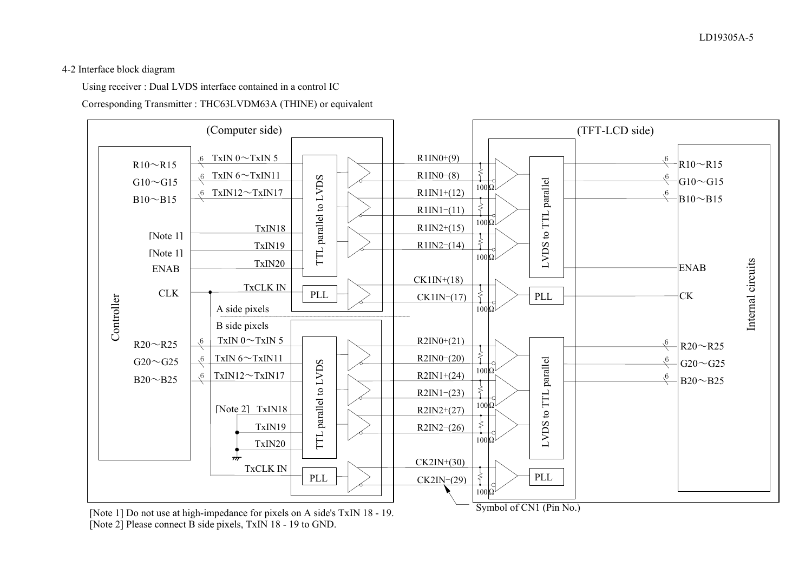### 4-2 Interface block diagram

Using receiver : Dual LVDS interface contained in a control IC

Corresponding Transmitter : THC63LVDM63A (THINE) or equivalent



[Note 1] Do not use at high-impedance for pixels on A side's TxIN 18 - 19. [Note 2] Please connect B side pixels, TxIN 18 - 19 to GND.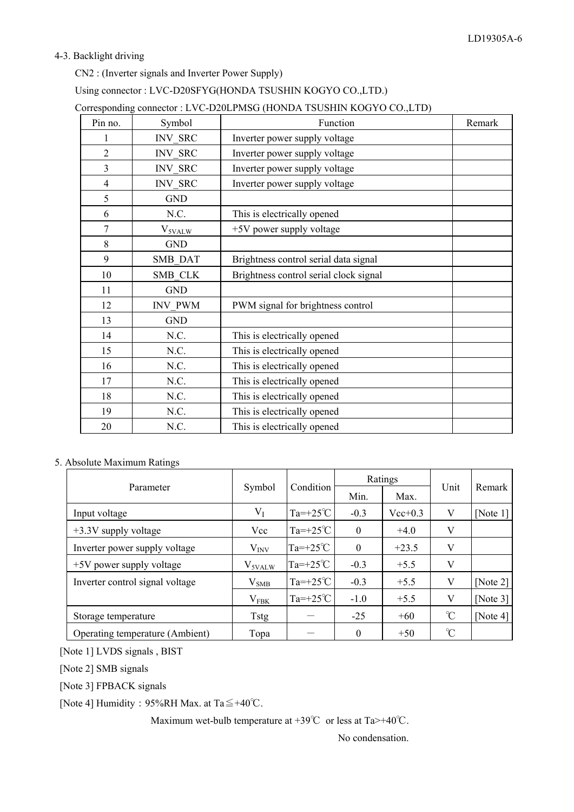#### 4-3. Backlight driving

CN2 : (Inverter signals and Inverter Power Supply)

# Using connector : LVC-D20SFYG(HONDA TSUSHIN KOGYO CO.,LTD.)

| Corresponding connector : LVC-D20LPMSG (HONDA TSUSHIN KOGYO CO.,LTD) |  |  |
|----------------------------------------------------------------------|--|--|
|----------------------------------------------------------------------|--|--|

| Pin no.        | Symbol             | Function                               | Remark |
|----------------|--------------------|----------------------------------------|--------|
|                | <b>INV SRC</b>     | Inverter power supply voltage          |        |
| $\overline{2}$ | INV_SRC            | Inverter power supply voltage          |        |
| $\overline{3}$ | <b>INV SRC</b>     | Inverter power supply voltage          |        |
| $\overline{4}$ | <b>INV SRC</b>     | Inverter power supply voltage          |        |
| 5              | <b>GND</b>         |                                        |        |
| 6              | N.C.               | This is electrically opened            |        |
| $\overline{7}$ | $V_{\text{5VALW}}$ | +5V power supply voltage               |        |
| 8              | <b>GND</b>         |                                        |        |
| 9              | SMB_DAT            | Brightness control serial data signal  |        |
| 10             | SMB CLK            | Brightness control serial clock signal |        |
| 11             | <b>GND</b>         |                                        |        |
| 12             | <b>INV PWM</b>     | PWM signal for brightness control      |        |
| 13             | <b>GND</b>         |                                        |        |
| 14             | N.C.               | This is electrically opened            |        |
| 15             | N.C.               | This is electrically opened            |        |
| 16             | N.C.               | This is electrically opened            |        |
| 17             | N.C.               | This is electrically opened            |        |
| 18             | N.C.               | This is electrically opened            |        |
| 19             | N.C.               | This is electrically opened            |        |
| 20             | N.C.               | This is electrically opened            |        |

#### 5. Absolute Maximum Ratings

|                                 |                    |                   |                | Ratings     |               | Remark      |
|---------------------------------|--------------------|-------------------|----------------|-------------|---------------|-------------|
| Parameter                       | Symbol             | Condition         | Min.           | Max.        | Unit          |             |
| Input voltage                   | $V_I$              | $Ta=+25^{\circ}C$ | $-0.3$         | $Vec{+}0.3$ | V             | [Note 1]    |
| $+3.3V$ supply voltage          | Vcc                | $Ta=+25^{\circ}C$ | $\overline{0}$ | $+4.0$      | V             |             |
| Inverter power supply voltage   | $V_{INV}$          | $Ta=+25^{\circ}C$ | $\theta$       | $+23.5$     | V             |             |
| +5V power supply voltage        | V <sub>5VALW</sub> | $Ta=+25^{\circ}C$ | $-0.3$         | $+5.5$      | V             |             |
| Inverter control signal voltage | $V_{SMB}$          | $Ta=+25^{\circ}C$ | $-0.3$         | $+5.5$      | V             | [Note $2$ ] |
|                                 | $V_{FBK}$          | $Ta=+25^{\circ}C$ | $-1.0$         | $+5.5$      | V             | [Note $3$ ] |
| Storage temperature             | <b>Tstg</b>        |                   | $-25$          | $+60$       | $\mathrm{C}$  | [Note $4$ ] |
| Operating temperature (Ambient) | Topa               |                   | $\theta$       | $+50$       | $\mathcal{C}$ |             |

[Note 1] LVDS signals , BIST

[Note 2] SMB signals

[Note 3] FPBACK signals

[Note 4] Humidity : 95%RH Max. at Ta $\leq +40^{\circ}$ C.

Maximum wet-bulb temperature at  $+39^{\circ}\text{C}$  or less at Ta $>+40^{\circ}\text{C}$ .

No condensation.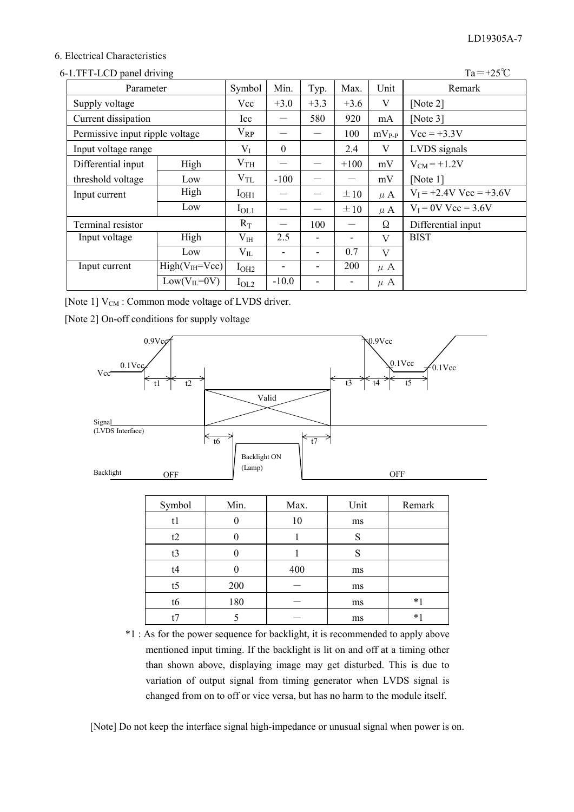### 6. Electrical Characteristics

| 6-1.TFT-LCD panel driving       |                      |                 |         |                                 |          |            | $Ta = +25^{\circ}C$       |
|---------------------------------|----------------------|-----------------|---------|---------------------------------|----------|------------|---------------------------|
| Parameter                       |                      | Symbol          | Min.    | Typ.                            | Max.     | Unit       | Remark                    |
| Supply voltage                  |                      | Vcc             | $+3.0$  | $+3.3$                          | $+3.6$   | V          | [Note $2$ ]               |
| Current dissipation             |                      | Icc             |         | 580                             | 920      | mA         | [Note $3$ ]               |
| Permissive input ripple voltage |                      | $V_{RP}$        |         |                                 | 100      | $mV_{P-P}$ | $Vcc = +3.3V$             |
| Input voltage range             |                      | $V_I$           | 0       |                                 | 2.4      | V          | LVDS signals              |
| Differential input              | High                 | V <sub>TH</sub> |         |                                 | $+100$   | mV         | $V_{CM} = +1.2V$          |
| threshold voltage               | Low                  | $\rm V_{TL}$    | $-100$  |                                 |          | mV         | [Note $1$ ]               |
| Input current                   | High                 | $I_{OH1}$       |         | $\hspace{0.1mm}-\hspace{0.1mm}$ | $\pm 10$ | $\mu$ A    | $V_I = +2.4V$ Vcc = +3.6V |
|                                 | Low                  | $I_{OL1}$       |         | $\overline{\phantom{0}}$        | $\pm 10$ | $\mu$ A    | $V_I = 0V$ Vcc = 3.6V     |
| Terminal resistor               |                      | $R_T$           |         | 100                             |          | Ω          | Differential input        |
| Input voltage                   | High                 | $V_{IH}$        | 2.5     |                                 |          | V          | <b>BIST</b>               |
|                                 | Low                  | $V_{IL}$        |         | $\qquad \qquad \blacksquare$    | 0.7      | V          |                           |
| Input current                   | $High(V_{IH} = Vcc)$ | $I_{OH2}$       |         |                                 | 200      | $\mu$ A    |                           |
|                                 | $Low(VIL=0V)$        | $I_{OL2}$       | $-10.0$ |                                 |          | $\mu$ A    |                           |

[Note  $1$ ]  $V_{CM}$  : Common mode voltage of LVDS driver.

[Note 2] On-off conditions for supply voltage



| <b>D</b> ymou | IVIIII. | ivias. | <b>UIII</b> | <b>INGHIAIN</b> |
|---------------|---------|--------|-------------|-----------------|
| tı            |         | 10     | ms          |                 |
| t2            |         |        | c           |                 |
| t3            |         |        |             |                 |
| t4            |         | 400    | ms          |                 |
| t5            | 200     |        | ms          |                 |
| t6            | 180     |        | ms          | $*1$            |
|               |         |        | ms          | $*1$            |

\*1 : As for the power sequence for backlight, it is recommended to apply above mentioned input timing. If the backlight is lit on and off at a timing other than shown above, displaying image may get disturbed. This is due to variation of output signal from timing generator when LVDS signal is changed from on to off or vice versa, but has no harm to the module itself.

[Note] Do not keep the interface signal high-impedance or unusual signal when power is on.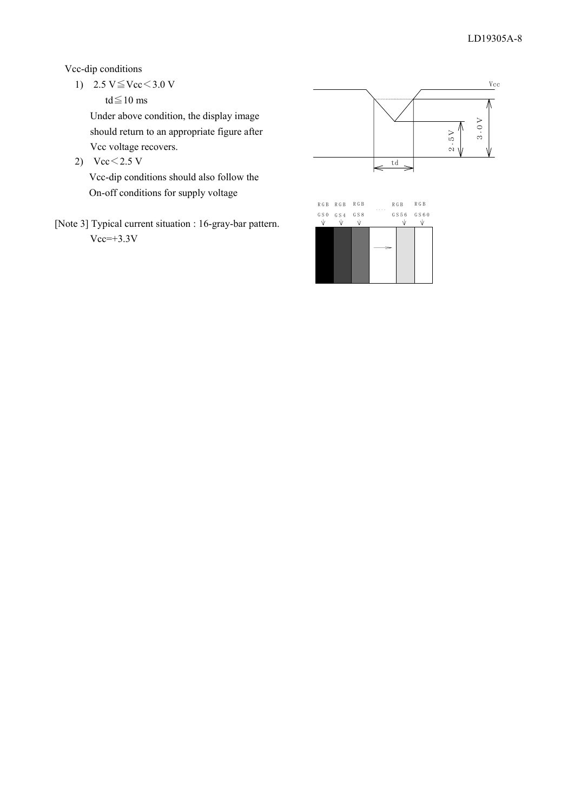Vcc-dip conditions

1)  $2.5 \text{ V} \leq \text{Vcc} < 3.0 \text{ V}$ 

td $\leq$ 10 ms

Under above condition, the display image should return to an appropriate figure after Vcc voltage recovers.

2)  $Vcc < 2.5 V$ 

Vcc-dip conditions should also follow the On-off conditions for supply voltage

[Note 3] Typical current situation : 16-gray-bar pattern.  $Vcc=+3.3V$ 

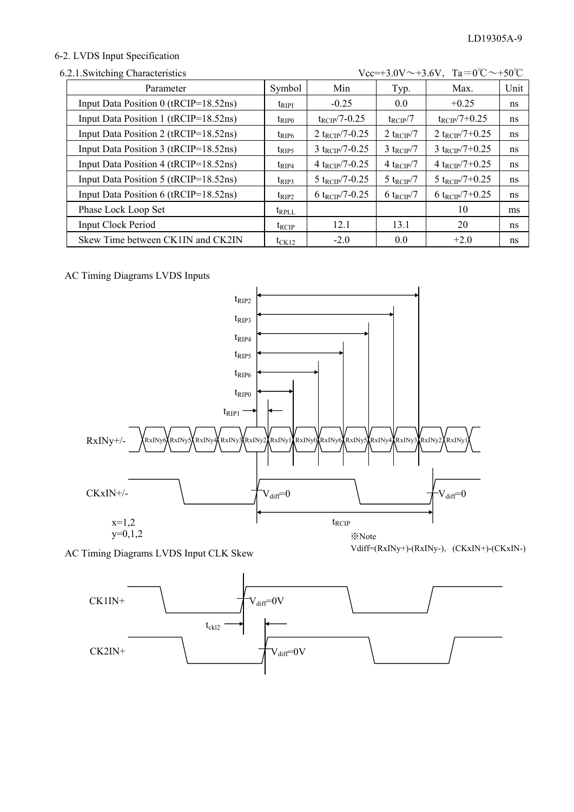### 6-2. LVDS Input Specification

| Vcc=+3.0V $\sim$ +3.6V, Ta=0°C $\sim$ +50°C<br>6.2.1. Switching Characteristics |                |                             |                          |                             |      |
|---------------------------------------------------------------------------------|----------------|-----------------------------|--------------------------|-----------------------------|------|
| Parameter                                                                       | Symbol         | Min                         | Typ.                     | Max.                        | Unit |
| Input Data Position 0 (tRCIP=18.52ns)                                           | $t_{\rm RIPI}$ | $-0.25$                     | 0.0                      | $+0.25$                     | ns   |
| Input Data Position 1 (tRCIP=18.52ns)                                           | $t_{\rm RIP0}$ | $t_{\text{RCIP}}$ /7-0.25   | $t_{\text{RCIP}}/7$      | $t_{\rm RCIP}/7+0.25$       | ns   |
| Input Data Position 2 (tRCIP=18.52ns)                                           | $t_{RIP6}$     | 2 t <sub>RCIP</sub> /7-0.25 | 2 t <sub>RCIP</sub> /7   | 2 t <sub>RCIP</sub> /7+0.25 | ns   |
| Input Data Position 3 (tRCIP=18.52ns)                                           | $t_{\rm RIP5}$ | 3 t <sub>RCIP</sub> /7-0.25 | $3$ t <sub>RCIP</sub> /7 | 3 t <sub>RCIP</sub> /7+0.25 | ns   |
| Input Data Position 4 (tRCIP=18.52ns)                                           | $t_{RIP4}$     | 4 t <sub>RCIP</sub> /7-0.25 | 4 t <sub>RCIP</sub> /7   | 4 t <sub>RCIP</sub> /7+0.25 | ns   |
| Input Data Position 5 (tRCIP=18.52ns)                                           | $t_{\rm RIP3}$ | 5 t <sub>RCIP</sub> /7-0.25 | 5 t <sub>RCIP</sub> /7   | 5 t <sub>RCIP</sub> /7+0.25 | ns   |
| Input Data Position 6 (tRCIP=18.52ns)                                           | $t_{RIP2}$     | 6 t <sub>rCIP</sub> /7-0.25 | 6 t <sub>rcIP</sub> $/7$ | 6 t <sub>RCIP</sub> /7+0.25 | ns   |
| Phase Lock Loop Set                                                             | $t_{RPLL}$     |                             |                          | 10                          | ms   |
| <b>Input Clock Period</b>                                                       | <b>t</b> rcip  | 12.1                        | 13.1                     | 20                          | ns   |
| Skew Time between CK1IN and CK2IN                                               | $t_{CK12}$     | $-2.0$                      | 0.0                      | $+2.0$                      | ns   |

# AC Timing Diagrams LVDS Inputs



AC Timing Diagrams LVDS Input CLK Skew

Vdiff=(RxINy+)-(RxINy-), (CKxIN+)-(CKxIN-)

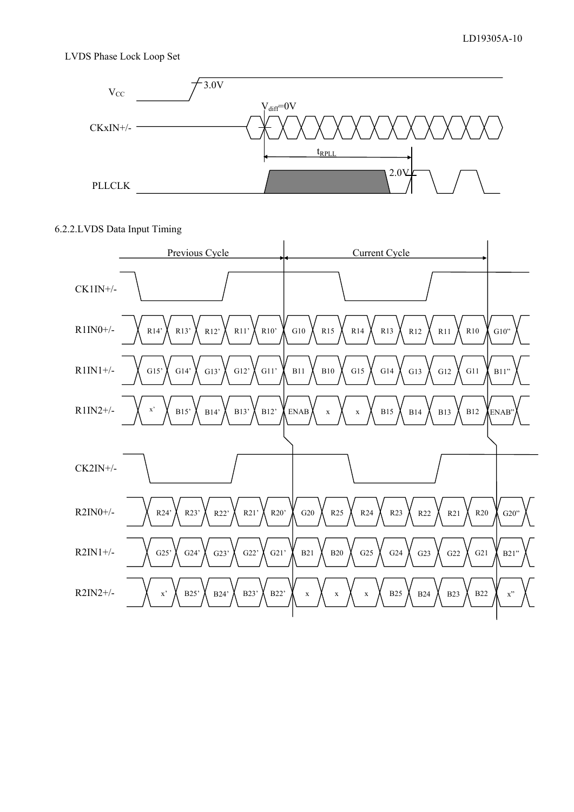#### LVDS Phase Lock Loop Set



#### 6.2.2.LVDS Data Input Timing

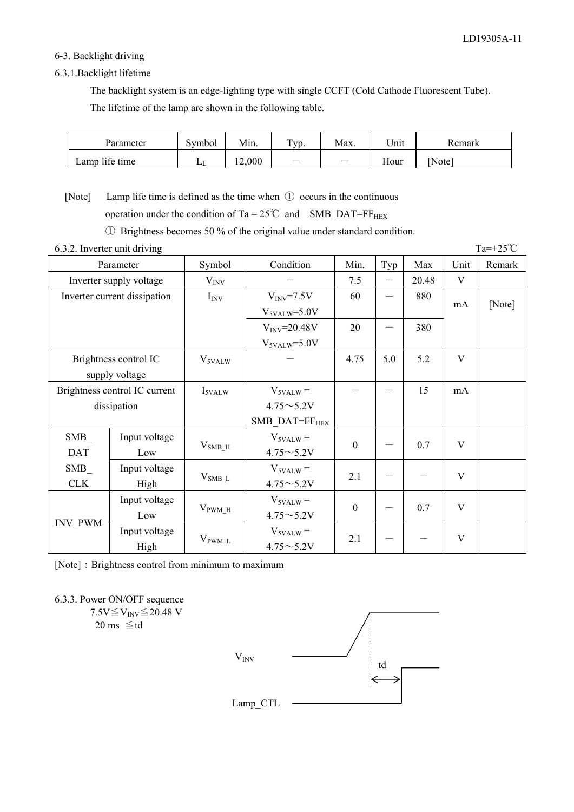#### 6-3. Backlight driving

#### 6.3.1.Backlight lifetime

 The backlight system is an edge-lighting type with single CCFT (Cold Cathode Fluorescent Tube). The lifetime of the lamp are shown in the following table.

| Parameter      | Symbol         | Min.  | Typ. | Max. | Unit | Remark |
|----------------|----------------|-------|------|------|------|--------|
| Lamp life time | L <sub>L</sub> | 2,000 | -    | -    | Hour | Note)  |

[Note] Lamp life time is defined as the time when ① occurs in the continuous operation under the condition of Ta =  $25^{\circ}$ C and SMB\_DAT=FF<sub>HEX</sub>

Ԙ Brightness becomes 50 % of the original value under standard condition.

| 6.3.2. Inverter unit driving  |                              |                     |                            |                  |     |       |      | $Ta=+25^{\circ}C$ |
|-------------------------------|------------------------------|---------------------|----------------------------|------------------|-----|-------|------|-------------------|
| Parameter                     |                              | Symbol              | Condition                  | Min.             | Typ | Max   | Unit | Remark            |
|                               | Inverter supply voltage      |                     |                            | 7.5              |     | 20.48 | V    |                   |
|                               | Inverter current dissipation | $I_{\rm{INV}}$      | $V_{\text{INV}}=7.5V$      | 60               |     | 880   |      |                   |
|                               |                              |                     | $V_{\text{5VALW}} = 5.0 V$ |                  |     |       | mA   | [Note]            |
|                               |                              |                     | $V_{\text{INV}}=20.48V$    | 20               |     | 380   |      |                   |
|                               |                              |                     | $V_{\text{5VALW}} = 5.0 V$ |                  |     |       |      |                   |
|                               | Brightness control IC        | V <sub>5VALW</sub>  |                            | 4.75             | 5.0 | 5.2   | V    |                   |
|                               | supply voltage               |                     |                            |                  |     |       |      |                   |
| Brightness control IC current |                              | $I_{\text{5VALW}}$  | $V_{\text{5VALW}} =$       |                  |     | 15    | mA   |                   |
|                               | dissipation                  |                     | $4.75{\sim}5.2V$           |                  |     |       |      |                   |
|                               |                              |                     | SMB DAT=FF <sub>HEX</sub>  |                  |     |       |      |                   |
| SMB                           | Input voltage                |                     | $V_{5VALW}$ =              | $\mathbf{0}$     |     | 0.7   | V    |                   |
| <b>DAT</b>                    | Low                          | $V_{SMB_H}$         | $4.75 \sim 5.2 V$          |                  |     |       |      |                   |
| SMB                           | Input voltage                |                     | $V_{5VALW}$ =              | 2.1              |     |       | V    |                   |
| <b>CLK</b>                    | High                         | $V_{SMB\_L}$        | $4.75{\sim}5.2V$           |                  |     |       |      |                   |
|                               | Input voltage                |                     | $V_{\text{5VALW}} =$       |                  |     |       |      |                   |
|                               | Low                          | $V_{\text{PWM H}}$  | $4.75 \sim 5.2 V$          | $\boldsymbol{0}$ |     | 0.7   | V    |                   |
| <b>INV_PWM</b>                | Input voltage                |                     | $V_{\text{5VALW}} =$       |                  |     |       |      |                   |
|                               | High                         | $V_{\text{PWM\_L}}$ | $4.75 \sim 5.2 V$          | 2.1              |     |       | V    |                   |

[Note]: Brightness control from minimum to maximum

6.3.3. Power ON/OFF sequence

 $7.5V \leq V_{\text{INV}} \leq 20.48$  V  $20 \text{ ms } \leq t d$ 

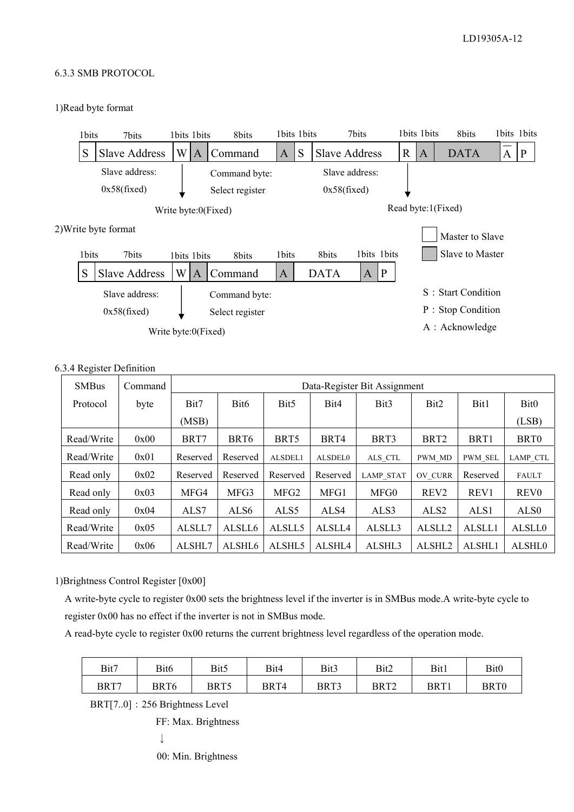#### 6.3.3 SMB PROTOCOL

#### 1)Read byte format



#### 6.3.4 Register Definition

| <b>SMBus</b> | Command |          | Data-Register Bit Assignment |                  |          |                  |                    |                  |                  |
|--------------|---------|----------|------------------------------|------------------|----------|------------------|--------------------|------------------|------------------|
| Protocol     | byte    | Bit7     | Bit <sub>6</sub>             | Bit <sub>5</sub> | Bit4     | Bit3             | Bit <sub>2</sub>   | Bit1             | Bit <sub>0</sub> |
|              |         | (MSB)    |                              |                  |          |                  |                    |                  | (LSB)            |
| Read/Write   | 0x00    | BRT7     | BRT <sub>6</sub>             | BRT <sub>5</sub> | BRT4     | BRT3             | BRT <sub>2</sub>   | BRT1             | BRT <sub>0</sub> |
| Read/Write   | 0x01    | Reserved | Reserved                     | ALSDEL1          | ALSDEL0  | ALS CTL          | PWM MD             | <b>PWM SEL</b>   | <b>LAMP CTL</b>  |
| Read only    | 0x02    | Reserved | Reserved                     | Reserved         | Reserved | <b>LAMP STAT</b> | <b>OV CURR</b>     | Reserved         | <b>FAULT</b>     |
| Read only    | 0x03    | MFG4     | MFG3                         | MFG <sub>2</sub> | MFG1     | MFG0             | REV <sub>2</sub>   | REV <sub>1</sub> | <b>REV0</b>      |
| Read only    | 0x04    | ALS7     | ALS <sub>6</sub>             | ALS <sub>5</sub> | ALS4     | ALS3             | ALS <sub>2</sub>   | ALS <sub>1</sub> | ALS <sub>0</sub> |
| Read/Write   | 0x05    | ALSLL7   | ALSLL6                       | ALSLL5           | ALSLL4   | ALSLL3           | ALSLL <sub>2</sub> | ALSLL1           | <b>ALSLL0</b>    |
| Read/Write   | 0x06    | ALSHL7   | ALSHL6                       | ALSHL5           | ALSHL4   | ALSHL3           | ALSHL2             | ALSHL1           | <b>ALSHLO</b>    |

1)Brightness Control Register [0x00]

A write-byte cycle to register 0x00 sets the brightness level if the inverter is in SMBus mode.A write-byte cycle to register 0x00 has no effect if the inverter is not in SMBus mode.

A read-byte cycle to register 0x00 returns the current brightness level regardless of the operation mode.

| Bit7 | Bit6 | Bit5 | Bit4 | Bit3 | Bit2 | Bit1 | Bit0 |
|------|------|------|------|------|------|------|------|
| BRT7 | BRT6 | BRT5 | BRT4 | BRT3 | BRT2 | BRT1 | BRT0 |

BRT[7..0]: 256 Brightness Level

FF: Max. Brightness

 $\downarrow$ 

00: Min. Brightness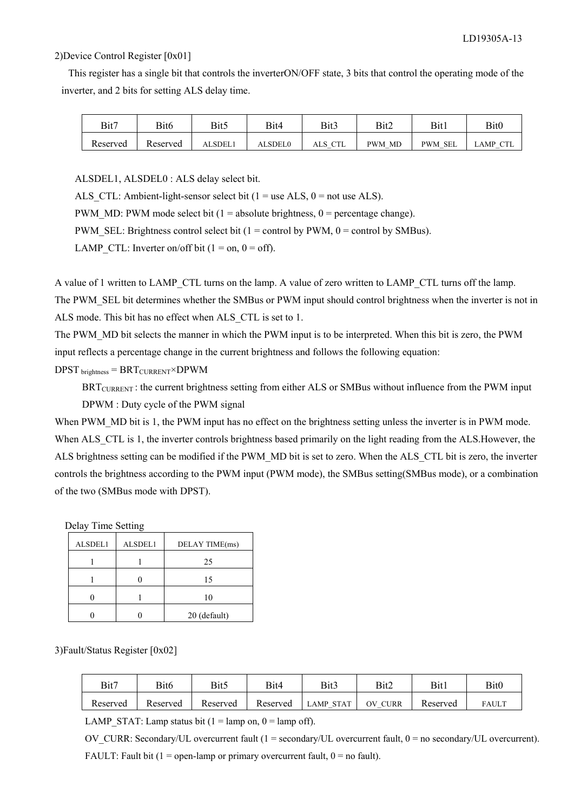#### 2)Device Control Register [0x01]

This register has a single bit that controls the inverterON/OFF state, 3 bits that control the operating mode of the inverter, and 2 bits for setting ALS delay time.

| Bit7     | Bit6     | Bit5           | Bit4           | Bit3    | Bit2   | Bit1           | Bit0            |
|----------|----------|----------------|----------------|---------|--------|----------------|-----------------|
| Reserved | Reserved | <b>ALSDEL1</b> | <b>ALSDEL0</b> | ALS CTL | PWM MD | <b>PWM SEL</b> | <b>LAMP CTL</b> |

ALSDEL1, ALSDEL0 : ALS delay select bit.

ALS CTL: Ambient-light-sensor select bit ( $1 =$  use ALS,  $0 =$  not use ALS).

PWM\_MD: PWM mode select bit (1 = absolute brightness,  $0 =$  percentage change).

PWM\_SEL: Brightness control select bit (1 = control by PWM,  $0 =$  control by SMBus).

LAMP CTL: Inverter on/off bit ( $1 = on$ ,  $0 = off$ ).

A value of 1 written to LAMP\_CTL turns on the lamp. A value of zero written to LAMP\_CTL turns off the lamp.

The PWM\_SEL bit determines whether the SMBus or PWM input should control brightness when the inverter is not in ALS mode. This bit has no effect when ALS\_CTL is set to 1.

The PWM\_MD bit selects the manner in which the PWM input is to be interpreted. When this bit is zero, the PWM input reflects a percentage change in the current brightness and follows the following equation:

 $DPST$  brightness =  $BRT_{CURRENT} \times DPWM$ 

BRT<sub>CURRENT</sub>: the current brightness setting from either ALS or SMBus without influence from the PWM input DPWM : Duty cycle of the PWM signal

When PWM\_MD bit is 1, the PWM input has no effect on the brightness setting unless the inverter is in PWM mode. When ALS CTL is 1, the inverter controls brightness based primarily on the light reading from the ALS.However, the ALS brightness setting can be modified if the PWM\_MD bit is set to zero. When the ALS\_CTL bit is zero, the inverter controls the brightness according to the PWM input (PWM mode), the SMBus setting(SMBus mode), or a combination of the two (SMBus mode with DPST).

Delay Time Setting

| ALSDEL1 | ALSDEL1 | DELAY TIME(ms) |
|---------|---------|----------------|
|         |         | 25             |
|         |         | 15             |
|         |         | 10             |
|         |         | 20 (default)   |

3)Fault/Status Register [0x02]

| Bit7     | Bit6     | Bit5     | Bit4     | Bit3             | Bit2              | <b>Bit1</b> | Bit0  |
|----------|----------|----------|----------|------------------|-------------------|-------------|-------|
| Reserved | Reserved | Reserved | Reserved | <b>LAMP STAT</b> | <b>CURR</b><br>ЭV | Reserved    | FAULT |

LAMP STAT: Lamp status bit (1 = lamp on, 0 = lamp off).

OV CURR: Secondary/UL overcurrent fault (1 = secondary/UL overcurrent fault,  $0 =$  no secondary/UL overcurrent). FAULT: Fault bit ( $1 =$  open-lamp or primary overcurrent fault,  $0 =$  no fault).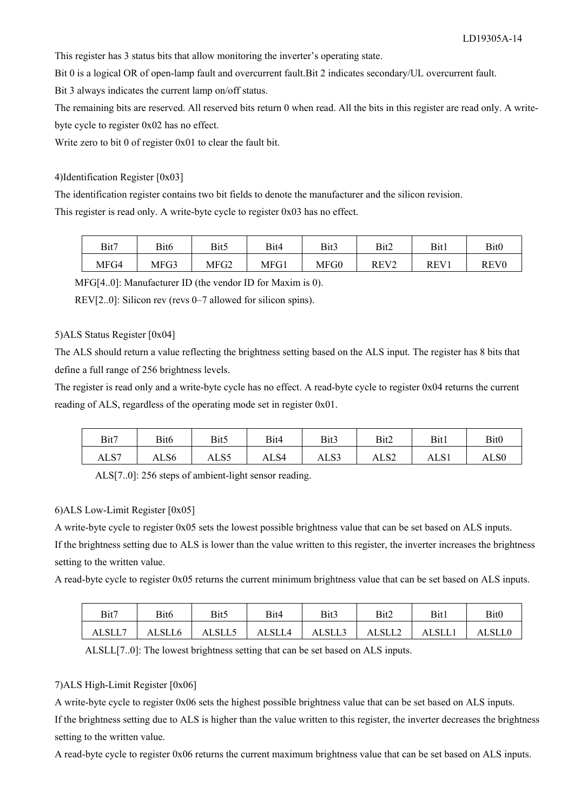This register has 3 status bits that allow monitoring the inverter's operating state.

Bit 0 is a logical OR of open-lamp fault and overcurrent fault.Bit 2 indicates secondary/UL overcurrent fault.

Bit 3 always indicates the current lamp on/off status.

The remaining bits are reserved. All reserved bits return 0 when read. All the bits in this register are read only. A writebyte cycle to register 0x02 has no effect.

Write zero to bit 0 of register 0x01 to clear the fault bit.

#### 4)Identification Register [0x03]

The identification register contains two bit fields to denote the manufacturer and the silicon revision.

This register is read only. A write-byte cycle to register 0x03 has no effect.

| Bit7 | Bit6 | Bit5 | Bit4 | Bit3 | Bit2             | Bit1 | Bit <sub>0</sub> |
|------|------|------|------|------|------------------|------|------------------|
| MFG4 | MFG3 | MFG2 | MFG1 | MFG0 | REV <sub>2</sub> | REV1 | REV0             |

MFG[4..0]: Manufacturer ID (the vendor ID for Maxim is 0).

REV[2..0]: Silicon rev (revs 0–7 allowed for silicon spins).

#### 5)ALS Status Register [0x04]

The ALS should return a value reflecting the brightness setting based on the ALS input. The register has 8 bits that define a full range of 256 brightness levels.

The register is read only and a write-byte cycle has no effect. A read-byte cycle to register 0x04 returns the current reading of ALS, regardless of the operating mode set in register 0x01.

| Bit7 | Bit <sub>6</sub> | Bit5 | Bit4 | Bit3 | Bit2             | Bit1 | Bit <sub>0</sub> |
|------|------------------|------|------|------|------------------|------|------------------|
| ALS7 | ALS6             | ALS5 | ALS4 | ALS3 | ALS <sub>2</sub> | ALS1 | ALS0             |

ALS[7..0]: 256 steps of ambient-light sensor reading.

#### 6)ALS Low-Limit Register [0x05]

A write-byte cycle to register 0x05 sets the lowest possible brightness value that can be set based on ALS inputs.

If the brightness setting due to ALS is lower than the value written to this register, the inverter increases the brightness setting to the written value.

A read-byte cycle to register 0x05 returns the current minimum brightness value that can be set based on ALS inputs.

| Bit7   | Bit6   | Bit5   | Bit4   | Bit3   | Bit2   | Bit1   | Bit <sub>0</sub> |
|--------|--------|--------|--------|--------|--------|--------|------------------|
| ALSLL7 | ALSLL6 | ALSLL5 | ALSLL4 | ALSLL3 | ALSLL2 | ALSLL. | <b>ALSLLO</b>    |

ALSLL[7..0]: The lowest brightness setting that can be set based on ALS inputs.

#### 7)ALS High-Limit Register [0x06]

A write-byte cycle to register 0x06 sets the highest possible brightness value that can be set based on ALS inputs.

If the brightness setting due to ALS is higher than the value written to this register, the inverter decreases the brightness setting to the written value.

A read-byte cycle to register 0x06 returns the current maximum brightness value that can be set based on ALS inputs.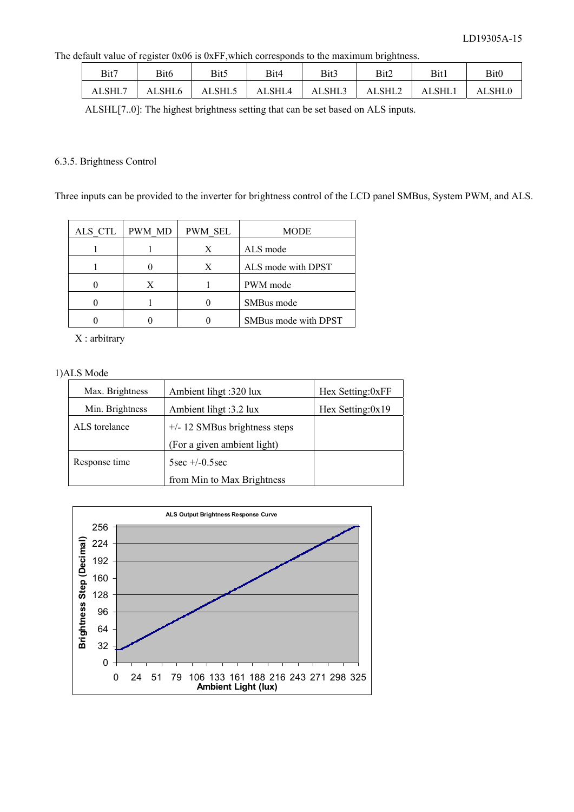The default value of register 0x06 is 0xFF,which corresponds to the maximum brightness.

| Bit7   | Bit6   | Bit5   | Bit4   | Bit3   | Bit2   | Bit1          | Bit <sub>0</sub> |
|--------|--------|--------|--------|--------|--------|---------------|------------------|
| ALSHL7 | ALSHL6 | ALSHL5 | ALSHL4 | ALSHL3 | ALSHL2 | <b>ALSHL1</b> | ALSHL0           |

ALSHL[7..0]: The highest brightness setting that can be set based on ALS inputs.

#### 6.3.5. Brightness Control

Three inputs can be provided to the inverter for brightness control of the LCD panel SMBus, System PWM, and ALS.

| ALS CTL   PWM MD | PWM SEL | <b>MODE</b>          |
|------------------|---------|----------------------|
|                  | X       | ALS mode             |
|                  | X       | ALS mode with DPST   |
| X                |         | PWM mode             |
|                  |         | SMBus mode           |
|                  |         | SMBus mode with DPST |

X : arbitrary

1)ALS Mode

| Max. Brightness | Ambient lihgt :320 lux          | Hex Setting:0xFF |
|-----------------|---------------------------------|------------------|
| Min. Brightness | Ambient lihgt :3.2 lux          | Hex Setting:0x19 |
| ALS torelance   | $+/- 12$ SMBus brightness steps |                  |
|                 | (For a given ambient light)     |                  |
| Response time   | $5sec +10.5sec$                 |                  |
|                 | from Min to Max Brightness      |                  |

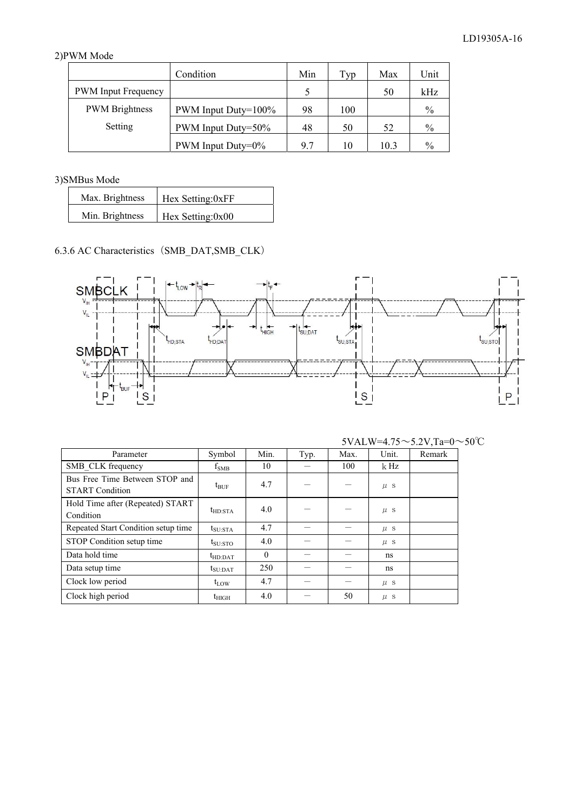# 2)PWM Mode

|                            | Condition             | Min | Typ | Max  | Unit |
|----------------------------|-----------------------|-----|-----|------|------|
| <b>PWM</b> Input Frequency |                       |     |     | 50   | kHz  |
| <b>PWM</b> Brightness      | PWM Input Duty=100%   | 98  | 100 |      | $\%$ |
| Setting                    | PWM Input Duty=50%    | 48  | 50  | 52   | $\%$ |
|                            | PWM Input Duty= $0\%$ | 9.7 | 10  | 10.3 | $\%$ |

3)SMBus Mode

| Max. Brightness | Hex Setting:0xFF |
|-----------------|------------------|
| Min. Brightness | Hex Setting:0x00 |

# 6.3.6 AC Characteristics (SMB\_DAT, SMB\_CLK)



| Parameter                                                | Symbol               | Min.     | Typ. | Max. | Unit.   | Remark |
|----------------------------------------------------------|----------------------|----------|------|------|---------|--------|
| SMB CLK frequency                                        | $f_{\rm SMB}$        | 10       |      | 100  | k Hz    |        |
| Bus Free Time Between STOP and<br><b>START Condition</b> | $t_{\text{BUF}}$     | 4.7      |      |      | $\mu$ s |        |
| Hold Time after (Repeated) START<br>Condition            | $t_{HD:STA}$         | 4.0      |      |      | $\mu$ s |        |
| Repeated Start Condition setup time                      | $t_{\rm SU:STA}$     | 4.7      |      |      | $\mu$ s |        |
| STOP Condition setup time                                | $t_{\rm SU:STO}$     | 4.0      |      |      | $\mu$ S |        |
| Data hold time                                           | $t_{HD:DAT}$         | $\theta$ |      |      | ns      |        |
| Data setup time                                          | $t_{\text{SU}:DATA}$ | 250      |      |      | ns      |        |
| Clock low period                                         | $t_{LOW}$            | 4.7      |      |      | $\mu$ s |        |
| Clock high period                                        | $t_{\rm HIGH}$       | 4.0      |      | 50   | $\mu$ s |        |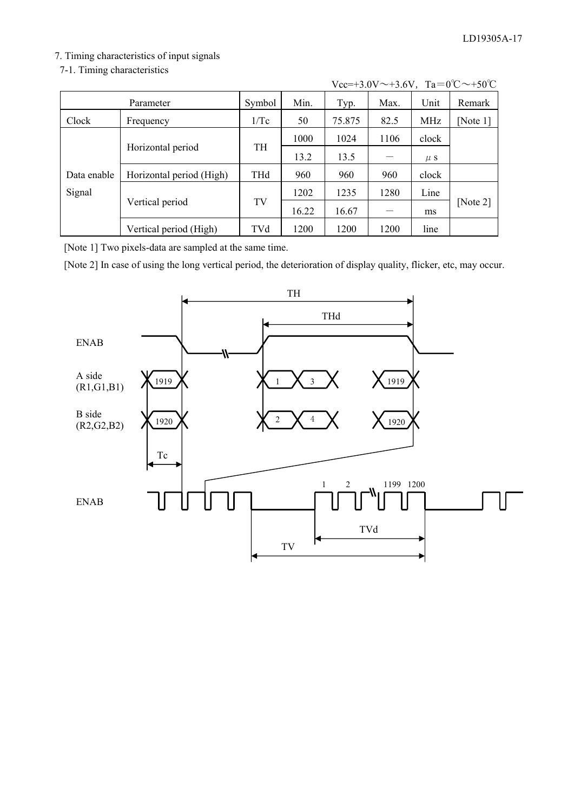# 7. Timing characteristics of input signals

7-1. Timing characteristics-

|             | Parameter                | Symbol     | Min.  | Typ.   | Max. | Unit    | Remark   |
|-------------|--------------------------|------------|-------|--------|------|---------|----------|
| Clock       | Frequency                | 1/Tc       | 50    | 75.875 | 82.5 | MHz     | [Note 1] |
|             |                          |            | 1000  | 1024   | 1106 | clock   |          |
|             | Horizontal period        | TH         | 13.2  | 13.5   |      | $\mu$ S |          |
| Data enable | Horizontal period (High) | <b>THd</b> | 960   | 960    | 960  | clock   |          |
| Signal      |                          |            | 1202  | 1235   | 1280 | Line    |          |
|             | Vertical period          | TV         | 16.22 | 16.67  |      | ms      | [Note 2] |
|             | Vertical period (High)   | TVd        | 1200  | 1200   | 1200 | line    |          |

| $Vec=+3.0V \sim +3.6V$ , $Ta=0^{\circ}C \sim +50^{\circ}C$ |  |  |  |  |
|------------------------------------------------------------|--|--|--|--|
|------------------------------------------------------------|--|--|--|--|

[Note 1] Two pixels-data are sampled at the same time.

[Note 2] In case of using the long vertical period, the deterioration of display quality, flicker, etc, may occur.

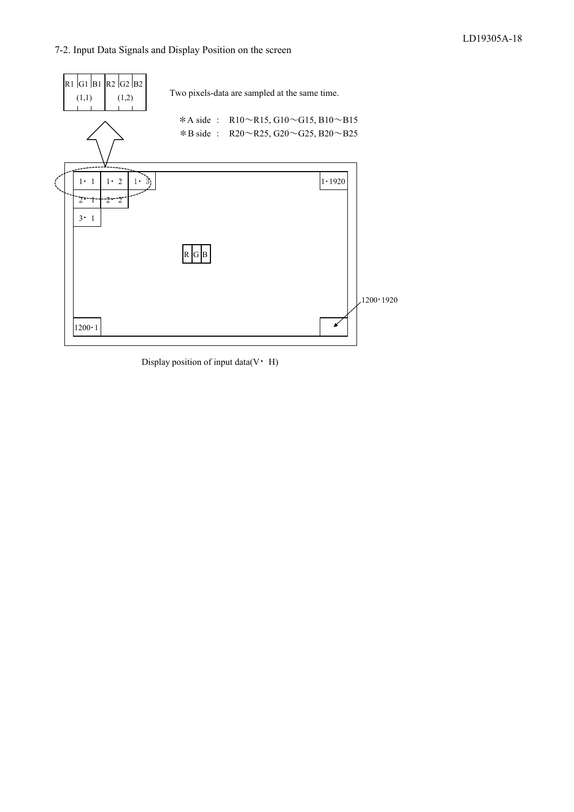#### 7-2. Input Data Signals and Display Position on the screen



Display position of input data( $V$  $\cdot$  H)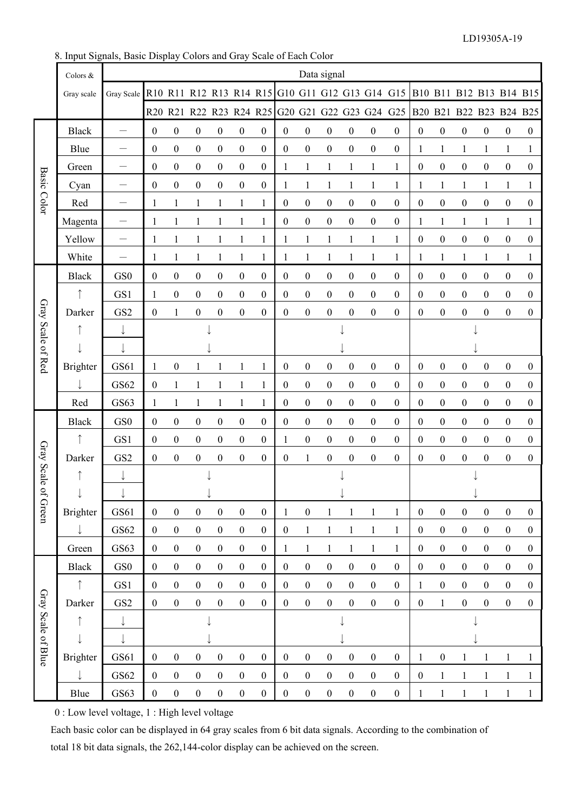8. Input Signals, Basic Display Colors and Gray Scale of Each Color

|                    | Colors &        |                                                                                    |                  |                  |                  |                  |                  |                  |                  |                  | Data signal      |                  |                  |                                                                         |                  |                  |                  |                  |                  |  |
|--------------------|-----------------|------------------------------------------------------------------------------------|------------------|------------------|------------------|------------------|------------------|------------------|------------------|------------------|------------------|------------------|------------------|-------------------------------------------------------------------------|------------------|------------------|------------------|------------------|------------------|--|
|                    | Gray scale      | Gray Scale R10 R11 R12 R13 R14 R15 G10 G11 G12 G13 G14 G15 B10 B11 B12 B13 B14 B15 |                  |                  |                  |                  |                  |                  |                  |                  |                  |                  |                  |                                                                         |                  |                  |                  |                  |                  |  |
|                    |                 |                                                                                    |                  |                  |                  |                  |                  |                  |                  |                  |                  |                  |                  | R20 R21 R22 R23 R24 R25 G20 G21 G22 G23 G24 G25 B20 B21 B22 B23 B24 B25 |                  |                  |                  |                  |                  |  |
|                    | <b>Black</b>    | $\overline{\phantom{0}}$                                                           | $\boldsymbol{0}$ | $\boldsymbol{0}$ | $\boldsymbol{0}$ | $\boldsymbol{0}$ | $\boldsymbol{0}$ | $\boldsymbol{0}$ | $\boldsymbol{0}$ | $\boldsymbol{0}$ | $\boldsymbol{0}$ | $\boldsymbol{0}$ | $\boldsymbol{0}$ | $\boldsymbol{0}$                                                        | $\boldsymbol{0}$ | $\boldsymbol{0}$ | $\boldsymbol{0}$ | $\boldsymbol{0}$ | $\boldsymbol{0}$ |  |
|                    | Blue            | $\overline{\phantom{0}}$                                                           | $\boldsymbol{0}$ | $\boldsymbol{0}$ | $\boldsymbol{0}$ | $\boldsymbol{0}$ | $\boldsymbol{0}$ | $\boldsymbol{0}$ | $\boldsymbol{0}$ | $\boldsymbol{0}$ | $\boldsymbol{0}$ | $\boldsymbol{0}$ | $\boldsymbol{0}$ | $\boldsymbol{0}$                                                        | $\mathbf{1}$     | $\mathbf{1}$     | 1                | 1                | $\mathbf{1}$     |  |
|                    | Green           |                                                                                    | $\boldsymbol{0}$ | $\boldsymbol{0}$ | $\boldsymbol{0}$ | $\boldsymbol{0}$ | $\boldsymbol{0}$ | $\boldsymbol{0}$ | $\mathbf{1}$     | $\mathbf{1}$     | $\mathbf{1}$     | $\mathbf{1}$     | 1                | 1                                                                       | $\boldsymbol{0}$ | $\boldsymbol{0}$ | $\boldsymbol{0}$ | $\boldsymbol{0}$ | $\boldsymbol{0}$ |  |
| <b>Basic Color</b> | Cyan            |                                                                                    | $\boldsymbol{0}$ | $\boldsymbol{0}$ | $\boldsymbol{0}$ | $\boldsymbol{0}$ | $\boldsymbol{0}$ | $\boldsymbol{0}$ | 1                | $\mathbf{1}$     | 1                | $\mathbf{1}$     | 1                | 1                                                                       | $\mathbf{1}$     | $\mathbf{1}$     | $\mathbf{1}$     | 1                | $\mathbf{1}$     |  |
|                    | Red             | -                                                                                  | 1                | $\mathbf{1}$     | 1                | 1                | 1                | $\mathbf{1}$     | $\boldsymbol{0}$ | $\boldsymbol{0}$ | $\boldsymbol{0}$ | $\boldsymbol{0}$ | $\boldsymbol{0}$ | $\boldsymbol{0}$                                                        | $\boldsymbol{0}$ | $\boldsymbol{0}$ | $\boldsymbol{0}$ | $\boldsymbol{0}$ | $\boldsymbol{0}$ |  |
|                    | Magenta         | $\qquad \qquad -$                                                                  | 1                | $\mathbf{1}$     | 1                | $\mathbf{1}$     | 1                | $\mathbf{1}$     | $\boldsymbol{0}$ | $\boldsymbol{0}$ | $\boldsymbol{0}$ | $\boldsymbol{0}$ | $\boldsymbol{0}$ | $\boldsymbol{0}$                                                        | 1                | 1                | 1                | 1                | 1                |  |
|                    | Yellow          | $\qquad \qquad -$                                                                  | 1                | $\mathbf{1}$     | 1                | $\mathbf{1}$     | 1                | $\mathbf{1}$     | 1                | $\mathbf{1}$     | $\mathbf{1}$     | $\mathbf{1}$     | 1                | 1                                                                       | $\boldsymbol{0}$ | $\boldsymbol{0}$ | $\boldsymbol{0}$ | $\boldsymbol{0}$ | $\boldsymbol{0}$ |  |
|                    | White           | $\overline{\phantom{0}}$                                                           | $\mathbf{1}$     | $\mathbf{1}$     | 1                | $\mathbf{1}$     | $\mathbf{1}$     | $\mathbf{1}$     | $\mathbf{1}$     | $\mathbf{1}$     | $\mathbf{1}$     | $\mathbf{1}$     | $\mathbf{1}$     | 1                                                                       | $\mathbf{1}$     | $\mathbf{1}$     | $\mathbf{1}$     | 1                | $\mathbf{1}$     |  |
|                    | <b>Black</b>    | GS <sub>0</sub>                                                                    | $\boldsymbol{0}$ | $\boldsymbol{0}$ | $\boldsymbol{0}$ | $\boldsymbol{0}$ | $\boldsymbol{0}$ | $\boldsymbol{0}$ | $\boldsymbol{0}$ | $\boldsymbol{0}$ | $\boldsymbol{0}$ | $\boldsymbol{0}$ | $\boldsymbol{0}$ | $\boldsymbol{0}$                                                        | $\boldsymbol{0}$ | $\boldsymbol{0}$ | $\boldsymbol{0}$ | $\boldsymbol{0}$ | $\boldsymbol{0}$ |  |
|                    |                 | GS1                                                                                | 1                | $\boldsymbol{0}$ | $\boldsymbol{0}$ | $\boldsymbol{0}$ | $\boldsymbol{0}$ | $\boldsymbol{0}$ | $\boldsymbol{0}$ | $\boldsymbol{0}$ | $\boldsymbol{0}$ | $\boldsymbol{0}$ | $\boldsymbol{0}$ | $\boldsymbol{0}$                                                        | $\boldsymbol{0}$ | $\boldsymbol{0}$ | $\boldsymbol{0}$ | $\boldsymbol{0}$ | $\boldsymbol{0}$ |  |
|                    | Darker          | GS <sub>2</sub>                                                                    | $\boldsymbol{0}$ | $\mathbf{1}$     | $\boldsymbol{0}$ | $\boldsymbol{0}$ | $\boldsymbol{0}$ | $\boldsymbol{0}$ | $\mathbf{0}$     | $\boldsymbol{0}$ | $\boldsymbol{0}$ | $\boldsymbol{0}$ | $\boldsymbol{0}$ | $\boldsymbol{0}$                                                        | $\boldsymbol{0}$ | $\boldsymbol{0}$ | $\boldsymbol{0}$ | $\boldsymbol{0}$ | $\boldsymbol{0}$ |  |
| Gray Scale of Red  |                 | $\downarrow$                                                                       |                  |                  |                  |                  |                  |                  |                  |                  |                  |                  |                  |                                                                         |                  |                  |                  |                  |                  |  |
|                    |                 |                                                                                    |                  |                  |                  |                  |                  |                  |                  |                  |                  |                  |                  |                                                                         |                  |                  |                  |                  |                  |  |
|                    | <b>Brighter</b> | GS61                                                                               | 1                | $\boldsymbol{0}$ | 1                | 1                | 1                | $\mathbf{1}$     | $\boldsymbol{0}$ | $\boldsymbol{0}$ | $\boldsymbol{0}$ | $\boldsymbol{0}$ | $\boldsymbol{0}$ | $\boldsymbol{0}$                                                        | $\boldsymbol{0}$ | $\boldsymbol{0}$ | $\boldsymbol{0}$ | $\boldsymbol{0}$ | $\boldsymbol{0}$ |  |
|                    |                 | GS62                                                                               | $\boldsymbol{0}$ | $\mathbf{1}$     | $\mathbf{1}$     | $\mathbf{1}$     | $\mathbf{1}$     | $\mathbf{1}$     | $\boldsymbol{0}$ | $\boldsymbol{0}$ | $\boldsymbol{0}$ | $\boldsymbol{0}$ | $\boldsymbol{0}$ | $\boldsymbol{0}$                                                        | $\boldsymbol{0}$ | $\boldsymbol{0}$ | $\boldsymbol{0}$ | $\boldsymbol{0}$ | $\mathbf{0}$     |  |
|                    | Red             | GS63                                                                               | 1                | $\mathbf{1}$     | 1                | 1                | 1                | $\mathbf{1}$     | $\mathbf{0}$     | $\boldsymbol{0}$ | $\boldsymbol{0}$ | $\boldsymbol{0}$ | $\boldsymbol{0}$ | $\boldsymbol{0}$                                                        | $\boldsymbol{0}$ | $\boldsymbol{0}$ | $\boldsymbol{0}$ | $\boldsymbol{0}$ | $\boldsymbol{0}$ |  |
|                    | <b>Black</b>    | GS <sub>0</sub>                                                                    | $\boldsymbol{0}$ | $\boldsymbol{0}$ | $\boldsymbol{0}$ | $\boldsymbol{0}$ | $\boldsymbol{0}$ | $\boldsymbol{0}$ | $\boldsymbol{0}$ | $\boldsymbol{0}$ | $\boldsymbol{0}$ | $\boldsymbol{0}$ | $\boldsymbol{0}$ | $\boldsymbol{0}$                                                        | $\boldsymbol{0}$ | $\boldsymbol{0}$ | $\boldsymbol{0}$ | $\boldsymbol{0}$ | $\boldsymbol{0}$ |  |
|                    |                 | GS1                                                                                | $\boldsymbol{0}$ | $\boldsymbol{0}$ | $\boldsymbol{0}$ | $\boldsymbol{0}$ | $\boldsymbol{0}$ | $\mathbf{0}$     | 1                | $\boldsymbol{0}$ | $\boldsymbol{0}$ | $\boldsymbol{0}$ | $\boldsymbol{0}$ | $\boldsymbol{0}$                                                        | $\boldsymbol{0}$ | $\boldsymbol{0}$ | $\boldsymbol{0}$ | $\overline{0}$   | $\boldsymbol{0}$ |  |
| Gray Scale         | Darker          | GS <sub>2</sub>                                                                    | $\boldsymbol{0}$ | $\boldsymbol{0}$ | $\boldsymbol{0}$ | $\boldsymbol{0}$ | $\boldsymbol{0}$ | $\boldsymbol{0}$ | $\boldsymbol{0}$ | $\mathbf{1}$     | $\boldsymbol{0}$ | $\boldsymbol{0}$ | $\boldsymbol{0}$ | $\boldsymbol{0}$                                                        | $\boldsymbol{0}$ | $\boldsymbol{0}$ | $\boldsymbol{0}$ | $\boldsymbol{0}$ | $\boldsymbol{0}$ |  |
| $\circ$            |                 | $\downarrow$                                                                       |                  |                  |                  |                  |                  |                  |                  |                  |                  |                  |                  |                                                                         |                  |                  |                  |                  |                  |  |
| f Green            | <b>Brighter</b> | GS61                                                                               | $\boldsymbol{0}$ | $\boldsymbol{0}$ | $\boldsymbol{0}$ | $\boldsymbol{0}$ | $\boldsymbol{0}$ | $\boldsymbol{0}$ | $\mathbf{1}$     | $\boldsymbol{0}$ | 1                | 1                | $\mathbf{1}$     | $\mathbf{1}$                                                            | $\boldsymbol{0}$ | $\boldsymbol{0}$ | $\boldsymbol{0}$ | $\boldsymbol{0}$ | $\boldsymbol{0}$ |  |
|                    |                 | GS62                                                                               | $\boldsymbol{0}$ | $\boldsymbol{0}$ | $\boldsymbol{0}$ | $\boldsymbol{0}$ | $\boldsymbol{0}$ | $\boldsymbol{0}$ | $\boldsymbol{0}$ | $\mathbf{1}$     | 1                | 1                | 1                | 1                                                                       | $\boldsymbol{0}$ | $\boldsymbol{0}$ | $\boldsymbol{0}$ | $\boldsymbol{0}$ | $\boldsymbol{0}$ |  |
|                    | Green           | GS63                                                                               | $\boldsymbol{0}$ | $\boldsymbol{0}$ | $\boldsymbol{0}$ | $\boldsymbol{0}$ | $\boldsymbol{0}$ | $\boldsymbol{0}$ | $\mathbf{1}$     | $\,1$            | $\mathbf{1}$     | $\mathbf 1$      | 1                | $\mathbf{1}$                                                            | $\boldsymbol{0}$ | $\boldsymbol{0}$ | $\boldsymbol{0}$ | $\boldsymbol{0}$ | $\boldsymbol{0}$ |  |
|                    | <b>Black</b>    | GS0                                                                                | $\boldsymbol{0}$ | $\boldsymbol{0}$ | $\boldsymbol{0}$ | $\boldsymbol{0}$ | $\boldsymbol{0}$ | $\boldsymbol{0}$ | $\boldsymbol{0}$ | $\boldsymbol{0}$ | $\boldsymbol{0}$ | $\boldsymbol{0}$ | $\boldsymbol{0}$ | $\boldsymbol{0}$                                                        | $\boldsymbol{0}$ | $\boldsymbol{0}$ | $\boldsymbol{0}$ | $\boldsymbol{0}$ | $\boldsymbol{0}$ |  |
|                    |                 | GS1                                                                                | $\boldsymbol{0}$ | $\boldsymbol{0}$ | $\boldsymbol{0}$ | $\boldsymbol{0}$ | $\overline{0}$   | $\boldsymbol{0}$ | $\boldsymbol{0}$ | $\boldsymbol{0}$ | $\boldsymbol{0}$ | $\boldsymbol{0}$ | $\boldsymbol{0}$ | $\boldsymbol{0}$                                                        | 1                | $\boldsymbol{0}$ | $\boldsymbol{0}$ | $\mathbf{0}$     | $\mathbf{0}$     |  |
|                    | Darker          | GS <sub>2</sub>                                                                    | $\overline{0}$   | $\boldsymbol{0}$ | $\boldsymbol{0}$ | $\boldsymbol{0}$ | $\mathbf{0}$     | $\boldsymbol{0}$ | $\boldsymbol{0}$ | $\boldsymbol{0}$ | $\boldsymbol{0}$ | $\boldsymbol{0}$ | $\mathbf{0}$     | $\boldsymbol{0}$                                                        | $\overline{0}$   | $\mathbf{1}$     | $\boldsymbol{0}$ | $\boldsymbol{0}$ | $\boldsymbol{0}$ |  |
| Gray Scale         |                 |                                                                                    |                  |                  |                  |                  |                  |                  |                  |                  |                  |                  |                  |                                                                         |                  |                  |                  |                  |                  |  |
|                    |                 |                                                                                    |                  |                  |                  |                  |                  |                  |                  |                  |                  |                  |                  |                                                                         |                  |                  |                  |                  |                  |  |
| of Blue            | <b>Brighter</b> | GS61                                                                               | $\boldsymbol{0}$ | $\boldsymbol{0}$ | $\boldsymbol{0}$ | $\boldsymbol{0}$ | $\boldsymbol{0}$ | $\boldsymbol{0}$ | $\boldsymbol{0}$ | $\boldsymbol{0}$ | $\boldsymbol{0}$ | $\boldsymbol{0}$ | $\boldsymbol{0}$ | $\boldsymbol{0}$                                                        | 1                | $\boldsymbol{0}$ |                  | 1                |                  |  |
|                    |                 | GS62                                                                               | $\mathbf{0}$     | $\boldsymbol{0}$ | $\boldsymbol{0}$ | $\boldsymbol{0}$ | $\boldsymbol{0}$ | $\boldsymbol{0}$ | $\boldsymbol{0}$ | $\boldsymbol{0}$ | $\boldsymbol{0}$ | $\boldsymbol{0}$ | $\boldsymbol{0}$ | $\boldsymbol{0}$                                                        | $\boldsymbol{0}$ | $\mathbf{1}$     | $\mathbf{1}$     | $\mathbf{1}$     | $\mathbf{1}$     |  |
|                    | Blue            | GS63                                                                               | $\overline{0}$   | $\boldsymbol{0}$ | $\boldsymbol{0}$ | $\boldsymbol{0}$ | $\boldsymbol{0}$ | $\boldsymbol{0}$ | $\boldsymbol{0}$ | $\boldsymbol{0}$ | $\boldsymbol{0}$ | $\boldsymbol{0}$ | $\boldsymbol{0}$ | $\boldsymbol{0}$                                                        | $\mathbf{1}$     | 1                | 1                | 1                | $\mathbf{1}$     |  |

Each basic color can be displayed in 64 gray scales from 6 bit data signals. According to the combination of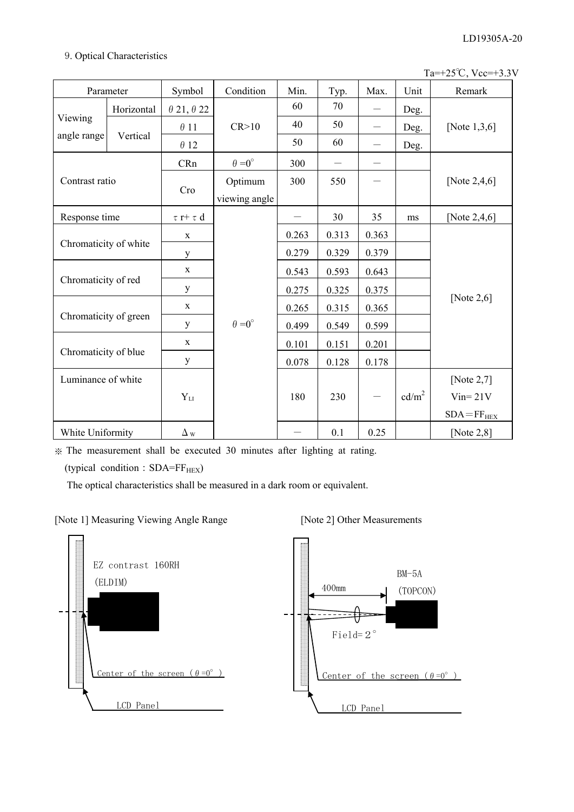-. Optical Characteristics

Ta=+25͠, Vcc=+3.3V

| Parameter                                                                                     |            | Symbol                   | Condition            | Min.  | Typ.                     | Max.              | Unit              | Remark           |
|-----------------------------------------------------------------------------------------------|------------|--------------------------|----------------------|-------|--------------------------|-------------------|-------------------|------------------|
|                                                                                               | Horizontal | $\theta$ 21, $\theta$ 22 |                      | 60    | 70                       |                   | Deg.              |                  |
| Viewing                                                                                       |            | $\theta$ 11              | CR > 10              | 40    | 50                       |                   | Deg.              | [Note $1,3,6$ ]  |
| angle range                                                                                   | Vertical   | $\theta$ 12              |                      | 50    | 60                       |                   | Deg.              |                  |
|                                                                                               |            | CRn                      | $\theta = 0^{\circ}$ | 300   | $\overline{\phantom{0}}$ |                   |                   |                  |
| Contrast ratio                                                                                |            |                          | Optimum              | 300   | 550                      |                   |                   | [Note $2,4,6$ ]  |
|                                                                                               |            | Cro                      | viewing angle        |       |                          |                   |                   |                  |
| Response time                                                                                 |            | $\tau$ r+ $\tau$ d       |                      |       | 30                       | 35                | ms                | [Note $2,4,6$ ]  |
|                                                                                               |            | $\mathbf X$              |                      | 0.263 | 0.313                    | 0.363             |                   |                  |
| Chromaticity of white<br>Chromaticity of red<br>Chromaticity of green<br>Chromaticity of blue |            | y                        |                      | 0.279 | 0.329                    | 0.379             |                   |                  |
|                                                                                               |            | $\mathbf X$              |                      | 0.543 | 0.593                    | 0.643             |                   |                  |
|                                                                                               |            | y                        |                      | 0.275 | 0.325                    | 0.375             |                   |                  |
|                                                                                               |            | $\mathbf X$              |                      | 0.265 | 0.315                    | 0.365             |                   | [Note $2,6$ ]    |
|                                                                                               |            | y                        | $\theta = 0^{\circ}$ | 0.499 | 0.549                    | 0.599             |                   |                  |
|                                                                                               |            | $\mathbf X$              |                      | 0.101 | 0.151                    | 0.201             |                   |                  |
|                                                                                               |            | y                        |                      | 0.078 | 0.128                    | 0.178             |                   |                  |
| Luminance of white                                                                            |            |                          |                      |       |                          |                   |                   | [Note $2,7$ ]    |
|                                                                                               |            | $Y_{LI}$                 |                      | 180   | 230                      | $\qquad \qquad -$ | cd/m <sup>2</sup> | $Vin = 21V$      |
|                                                                                               |            |                          |                      |       |                          |                   |                   | $SDA = FF_{HEX}$ |
| White Uniformity                                                                              |            | $\Delta$ w               |                      |       | 0.1                      | 0.25              |                   | [Note $2,8$ ]    |

 $\frac{1}{2}$ . The measurement shall be executed 30 minutes after lighting at rating.

(typical condition : SDA=FF<sub>HEX</sub>)

The optical characteristics shall be measured in a dark room or equivalent.

[Note 1] Measuring Viewing Angle Range [Note 2] Other Measurements



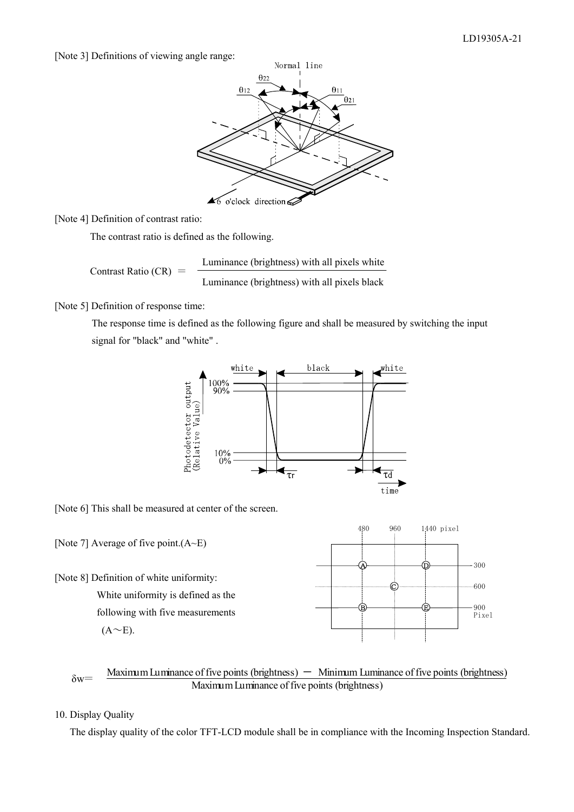[Note 3] Definitions of viewing angle range:



[Note 4] Definition of contrast ratio:

The contrast ratio is defined as the following.

Contrast Ratio (CR) = 
$$
\frac{\text{Luminance (brightness) with all pixels white}}{\text{Luminance (brightness) with all pixels black}}
$$

[Note 5] Definition of response time:

 The response time is defined as the following figure and shall be measured by switching the input signal for "black" and "white" .



[Note 6] This shall be measured at center of the screen.



Maximum Luminance of five points (brightness)  $\hbox{—}\n$  Minimum Luminance of five points (brightness)  $\delta w =$   $\frac{\text{Maximum variance of five points (of) functions}}{\text{Maximum Luminance of five points (brightness)}}$ 

# 10. Display Quality

The display quality of the color TFT-LCD module shall be in compliance with the Incoming Inspection Standard.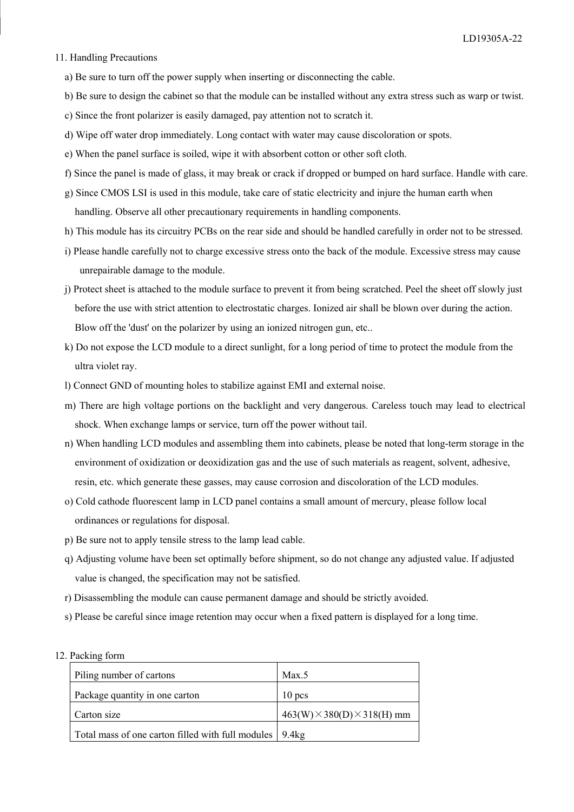#### 11. Handling Precautions

- a) Be sure to turn off the power supply when inserting or disconnecting the cable.
- b) Be sure to design the cabinet so that the module can be installed without any extra stress such as warp or twist.
- c) Since the front polarizer is easily damaged, pay attention not to scratch it.
- d) Wipe off water drop immediately. Long contact with water may cause discoloration or spots.
- e) When the panel surface is soiled, wipe it with absorbent cotton or other soft cloth.
- f) Since the panel is made of glass, it may break or crack if dropped or bumped on hard surface. Handle with care.
- g) Since CMOS LSI is used in this module, take care of static electricity and injure the human earth when handling. Observe all other precautionary requirements in handling components.
- h) This module has its circuitry PCBs on the rear side and should be handled carefully in order not to be stressed.
- i) Please handle carefully not to charge excessive stress onto the back of the module. Excessive stress may cause unrepairable damage to the module.
- j) Protect sheet is attached to the module surface to prevent it from being scratched. Peel the sheet off slowly just before the use with strict attention to electrostatic charges. Ionized air shall be blown over during the action. Blow off the 'dust' on the polarizer by using an ionized nitrogen gun, etc..
- k) Do not expose the LCD module to a direct sunlight, for a long period of time to protect the module from the ultra violet ray.
- l) Connect GND of mounting holes to stabilize against EMI and external noise.
- m) There are high voltage portions on the backlight and very dangerous. Careless touch may lead to electrical shock. When exchange lamps or service, turn off the power without tail.
- n) When handling LCD modules and assembling them into cabinets, please be noted that long-term storage in the environment of oxidization or deoxidization gas and the use of such materials as reagent, solvent, adhesive, resin, etc. which generate these gasses, may cause corrosion and discoloration of the LCD modules.
- o) Cold cathode fluorescent lamp in LCD panel contains a small amount of mercury, please follow local ordinances or regulations for disposal.
- p) Be sure not to apply tensile stress to the lamp lead cable.
- q) Adjusting volume have been set optimally before shipment, so do not change any adjusted value. If adjusted value is changed, the specification may not be satisfied.
- r) Disassembling the module can cause permanent damage and should be strictly avoided.
- s) Please be careful since image retention may occur when a fixed pattern is displayed for a long time.
- 12. Packing form

| Piling number of cartons                                  | Max.5                                   |
|-----------------------------------------------------------|-----------------------------------------|
| Package quantity in one carton                            | $10$ pcs                                |
| Carton size                                               | $463(W) \times 380(D) \times 318(H)$ mm |
| Total mass of one carton filled with full modules   9.4kg |                                         |